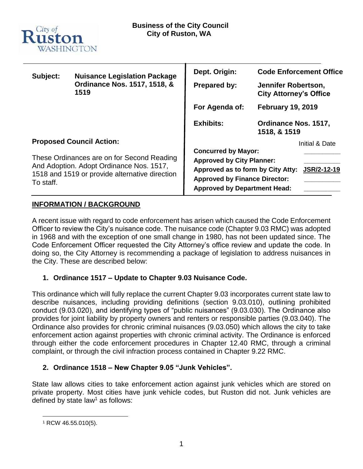

| Subject:                                                                                                                                              | <b>Nuisance Legislation Package</b><br>Ordinance Nos. 1517, 1518, &<br>1519 | Dept. Origin:                                                                                                                                                                                     | <b>Code Enforcement Office</b>                       |
|-------------------------------------------------------------------------------------------------------------------------------------------------------|-----------------------------------------------------------------------------|---------------------------------------------------------------------------------------------------------------------------------------------------------------------------------------------------|------------------------------------------------------|
|                                                                                                                                                       |                                                                             | <b>Prepared by:</b>                                                                                                                                                                               | Jennifer Robertson,<br><b>City Attorney's Office</b> |
|                                                                                                                                                       |                                                                             | For Agenda of:                                                                                                                                                                                    | <b>February 19, 2019</b>                             |
|                                                                                                                                                       |                                                                             | <b>Exhibits:</b>                                                                                                                                                                                  | Ordinance Nos. 1517,<br>1518, & 1519                 |
| <b>Proposed Council Action:</b>                                                                                                                       |                                                                             |                                                                                                                                                                                                   | Initial & Date                                       |
| These Ordinances are on for Second Reading<br>And Adoption. Adopt Ordinance Nos. 1517,<br>1518 and 1519 or provide alternative direction<br>To staff. |                                                                             | <b>Concurred by Mayor:</b><br><b>Approved by City Planner:</b><br>Approved as to form by City Atty:<br>JSR/2-12-19<br><b>Approved by Finance Director:</b><br><b>Approved by Department Head:</b> |                                                      |

## **INFORMATION / BACKGROUND**

A recent issue with regard to code enforcement has arisen which caused the Code Enforcement Officer to review the City's nuisance code. The nuisance code (Chapter 9.03 RMC) was adopted in 1968 and with the exception of one small change in 1980, has not been updated since. The Code Enforcement Officer requested the City Attorney's office review and update the code. In doing so, the City Attorney is recommending a package of legislation to address nuisances in the City. These are described below:

## **1. Ordinance 1517 – Update to Chapter 9.03 Nuisance Code.**

This ordinance which will fully replace the current Chapter 9.03 incorporates current state law to describe nuisances, including providing definitions (section 9.03.010), outlining prohibited conduct (9.03.020), and identifying types of "public nuisances" (9.03.030). The Ordinance also provides for joint liability by property owners and renters or responsible parties (9.03.040). The Ordinance also provides for chronic criminal nuisances (9.03.050) which allows the city to take enforcement action against properties with chronic criminal activity. The Ordinance is enforced through either the code enforcement procedures in Chapter 12.40 RMC, through a criminal complaint, or through the civil infraction process contained in Chapter 9.22 RMC.

## **2. Ordinance 1518 – New Chapter 9.05 "Junk Vehicles".**

State law allows cities to take enforcement action against junk vehicles which are stored on private property. Most cities have junk vehicle codes, but Ruston did not. Junk vehicles are defined by state law<sup>1</sup> as follows:

 $\overline{a}$ <sup>1</sup> RCW 46.55.010(5).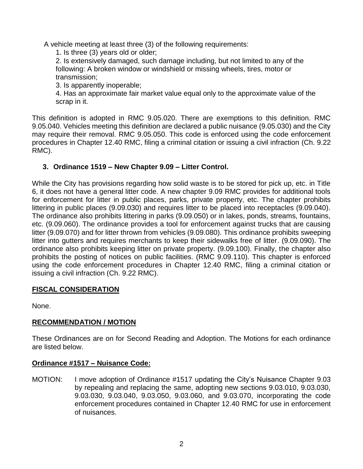A vehicle meeting at least three (3) of the following requirements:

1. Is three (3) years old or older;

2. Is extensively damaged, such damage including, but not limited to any of the following: A broken window or windshield or missing wheels, tires, motor or transmission;

3. Is apparently inoperable;

4. Has an approximate fair market value equal only to the approximate value of the scrap in it.

This definition is adopted in RMC 9.05.020. There are exemptions to this definition. RMC 9.05.040. Vehicles meeting this definition are declared a public nuisance (9.05.030) and the City may require their removal. RMC 9.05.050. This code is enforced using the code enforcement procedures in Chapter 12.40 RMC, filing a criminal citation or issuing a civil infraction (Ch. 9.22 RMC).

# **3. Ordinance 1519 – New Chapter 9.09 – Litter Control.**

While the City has provisions regarding how solid waste is to be stored for pick up, etc. in Title 6, it does not have a general litter code. A new chapter 9.09 RMC provides for additional tools for enforcement for litter in public places, parks, private property, etc. The chapter prohibits littering in public places (9.09.030) and requires litter to be placed into receptacles (9.09.040). The ordinance also prohibits littering in parks (9.09.050) or in lakes, ponds, streams, fountains, etc. (9.09.060). The ordinance provides a tool for enforcement against trucks that are causing litter (9.09.070) and for litter thrown from vehicles (9.09.080). This ordinance prohibits sweeping litter into gutters and requires merchants to keep their sidewalks free of litter. (9.09.090). The ordinance also prohibits keeping litter on private property. (9.09.100). Finally, the chapter also prohibits the posting of notices on public facilities. (RMC 9.09.110). This chapter is enforced using the code enforcement procedures in Chapter 12.40 RMC, filing a criminal citation or issuing a civil infraction (Ch. 9.22 RMC).

# **FISCAL CONSIDERATION**

None.

# **RECOMMENDATION / MOTION**

These Ordinances are on for Second Reading and Adoption. The Motions for each ordinance are listed below.

# **Ordinance #1517 – Nuisance Code:**

MOTION: I move adoption of Ordinance #1517 updating the City's Nuisance Chapter 9.03 by repealing and replacing the same, adopting new sections 9.03.010, 9.03.030, 9.03.030, 9.03.040, 9.03.050, 9.03.060, and 9.03.070, incorporating the code enforcement procedures contained in Chapter 12.40 RMC for use in enforcement of nuisances.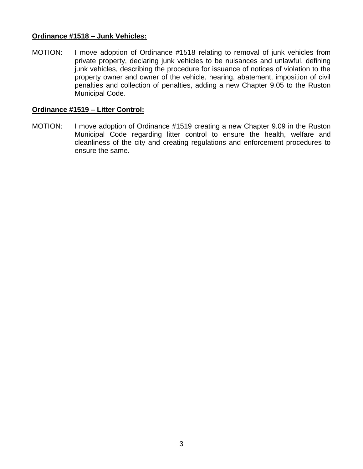## **Ordinance #1518 – Junk Vehicles:**

MOTION: I move adoption of Ordinance #1518 relating to removal of junk vehicles from private property, declaring junk vehicles to be nuisances and unlawful, defining junk vehicles, describing the procedure for issuance of notices of violation to the property owner and owner of the vehicle, hearing, abatement, imposition of civil penalties and collection of penalties, adding a new Chapter 9.05 to the Ruston Municipal Code.

## **Ordinance #1519 – Litter Control:**

MOTION: I move adoption of Ordinance #1519 creating a new Chapter 9.09 in the Ruston Municipal Code regarding litter control to ensure the health, welfare and cleanliness of the city and creating regulations and enforcement procedures to ensure the same.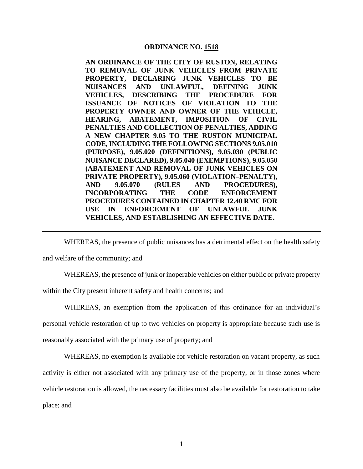#### **ORDINANCE NO. 1518**

**AN ORDINANCE OF THE CITY OF RUSTON, RELATING TO REMOVAL OF JUNK VEHICLES FROM PRIVATE PROPERTY, DECLARING JUNK VEHICLES TO BE NUISANCES AND UNLAWFUL, DEFINING JUNK VEHICLES, DESCRIBING THE PROCEDURE FOR ISSUANCE OF NOTICES OF VIOLATION TO THE PROPERTY OWNER AND OWNER OF THE VEHICLE, HEARING, ABATEMENT, IMPOSITION OF CIVIL PENALTIES AND COLLECTION OF PENALTIES, ADDING A NEW CHAPTER 9.05 TO THE RUSTON MUNICIPAL CODE, INCLUDING THE FOLLOWING SECTIONS 9.05.010 (PURPOSE), 9.05.020 (DEFINITIONS), 9.05.030 (PUBLIC NUISANCE DECLARED), 9.05.040 (EXEMPTIONS), 9.05.050 (ABATEMENT AND REMOVAL OF JUNK VEHICLES ON PRIVATE PROPERTY), 9.05.060 (VIOLATION–PENALTY), AND 9.05.070 (RULES AND PROCEDURES), INCORPORATING THE CODE ENFORCEMENT PROCEDURES CONTAINED IN CHAPTER 12.40 RMC FOR USE IN ENFORCEMENT OF UNLAWFUL JUNK VEHICLES, AND ESTABLISHING AN EFFECTIVE DATE.** 

WHEREAS, the presence of public nuisances has a detrimental effect on the health safety

and welfare of the community; and

WHEREAS, the presence of junk or inoperable vehicles on either public or private property

within the City present inherent safety and health concerns; and

WHEREAS, an exemption from the application of this ordinance for an individual's personal vehicle restoration of up to two vehicles on property is appropriate because such use is reasonably associated with the primary use of property; and

WHEREAS, no exemption is available for vehicle restoration on vacant property, as such activity is either not associated with any primary use of the property, or in those zones where vehicle restoration is allowed, the necessary facilities must also be available for restoration to take place; and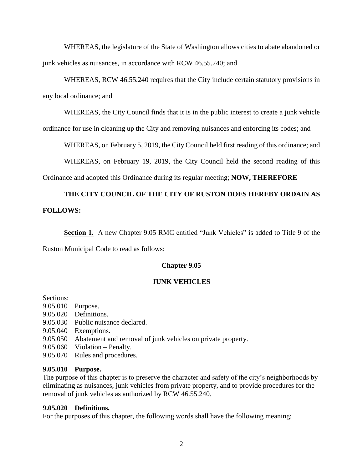WHEREAS, the legislature of the State of Washington allows cities to abate abandoned or junk vehicles as nuisances, in accordance with RCW 46.55.240; and

# WHEREAS, RCW 46.55.240 requires that the City include certain statutory provisions in any local ordinance; and

WHEREAS, the City Council finds that it is in the public interest to create a junk vehicle

ordinance for use in cleaning up the City and removing nuisances and enforcing its codes; and

WHEREAS, on February 5, 2019, the City Council held first reading of this ordinance; and

WHEREAS, on February 19, 2019, the City Council held the second reading of this

Ordinance and adopted this Ordinance during its regular meeting; **NOW, THEREFORE**

# **THE CITY COUNCIL OF THE CITY OF RUSTON DOES HEREBY ORDAIN AS FOLLOWS:**

Section 1. A new Chapter 9.05 RMC entitled "Junk Vehicles" is added to Title 9 of the

Ruston Municipal Code to read as follows:

### **Chapter 9.05**

### **JUNK VEHICLES**

Sections:

- 9.05.010 Purpose.
- 9.05.020 Definitions.
- 9.05.030 Public nuisance declared.
- 9.05.040 Exemptions.
- 9.05.050 Abatement and removal of junk vehicles on private property.
- 9.05.060 Violation Penalty.
- 9.05.070 Rules and procedures.

### **9.05.010 Purpose.**

The purpose of this chapter is to preserve the character and safety of the city's neighborhoods by eliminating as nuisances, junk vehicles from private property, and to provide procedures for the removal of junk vehicles as authorized by RCW 46.55.240.

### **9.05.020 Definitions.**

For the purposes of this chapter, the following words shall have the following meaning: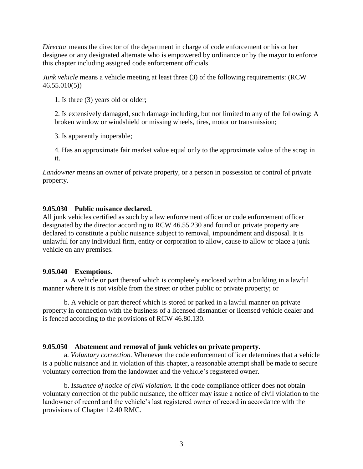*Director* means the director of the department in charge of code enforcement or his or her designee or any designated alternate who is empowered by ordinance or by the mayor to enforce this chapter including assigned code enforcement officials.

*Junk vehicle* means a vehicle meeting at least three (3) of the following requirements: (RCW 46.55.010(5))

1. Is three (3) years old or older;

2. Is extensively damaged, such damage including, but not limited to any of the following: A broken window or windshield or missing wheels, tires, motor or transmission;

3. Is apparently inoperable;

4. Has an approximate fair market value equal only to the approximate value of the scrap in it.

*Landowner* means an owner of private property, or a person in possession or control of private property.

## **9.05.030 Public nuisance declared.**

All junk vehicles certified as such by a law enforcement officer or code enforcement officer designated by the director according to RCW 46.55.230 and found on private property are declared to constitute a public nuisance subject to removal, impoundment and disposal. It is unlawful for any individual firm, entity or corporation to allow, cause to allow or place a junk vehicle on any premises.

## **9.05.040 Exemptions.**

a. A vehicle or part thereof which is completely enclosed within a building in a lawful manner where it is not visible from the street or other public or private property; or

b. A vehicle or part thereof which is stored or parked in a lawful manner on private property in connection with the business of a licensed dismantler or licensed vehicle dealer and is fenced according to the provisions of RCW 46.80.130.

## **9.05.050 Abatement and removal of junk vehicles on private property.**

a. *Voluntary correction.* Whenever the code enforcement officer determines that a vehicle is a public nuisance and in violation of this chapter, a reasonable attempt shall be made to secure voluntary correction from the landowner and the vehicle's registered owner.

b. *Issuance of notice of civil violation.* If the code compliance officer does not obtain voluntary correction of the public nuisance, the officer may issue a notice of civil violation to the landowner of record and the vehicle's last registered owner of record in accordance with the provisions of Chapter 12.40 RMC.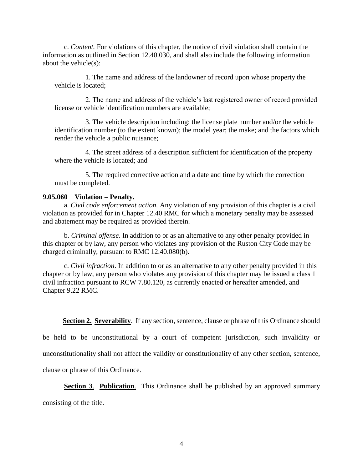c. *Content.* For violations of this chapter, the notice of civil violation shall contain the information as outlined in Section 12.40.030, and shall also include the following information about the vehicle(s):

1. The name and address of the landowner of record upon whose property the vehicle is located;

2. The name and address of the vehicle's last registered owner of record provided license or vehicle identification numbers are available;

3. The vehicle description including: the license plate number and/or the vehicle identification number (to the extent known); the model year; the make; and the factors which render the vehicle a public nuisance;

4. The street address of a description sufficient for identification of the property where the vehicle is located; and

5. The required corrective action and a date and time by which the correction must be completed.

### **9.05.060 Violation – Penalty.**

a. *Civil code enforcement action.* Any violation of any provision of this chapter is a civil violation as provided for in Chapter 12.40 RMC for which a monetary penalty may be assessed and abatement may be required as provided therein.

b. *Criminal offense*. In addition to or as an alternative to any other penalty provided in this chapter or by law, any person who violates any provision of the Ruston City Code may be charged criminally, pursuant to RMC 12.40.080(b).

c. *Civil infraction*. In addition to or as an alternative to any other penalty provided in this chapter or by law, any person who violates any provision of this chapter may be issued a class 1 civil infraction pursuant to RCW 7.80.120, as currently enacted or hereafter amended, and Chapter 9.22 RMC.

**Section 2. Severability**. If any section, sentence, clause or phrase of this Ordinance should

be held to be unconstitutional by a court of competent jurisdiction, such invalidity or

unconstitutionality shall not affect the validity or constitutionality of any other section, sentence,

clause or phrase of this Ordinance.

**Section 3. Publication.** This Ordinance shall be published by an approved summary

consisting of the title.